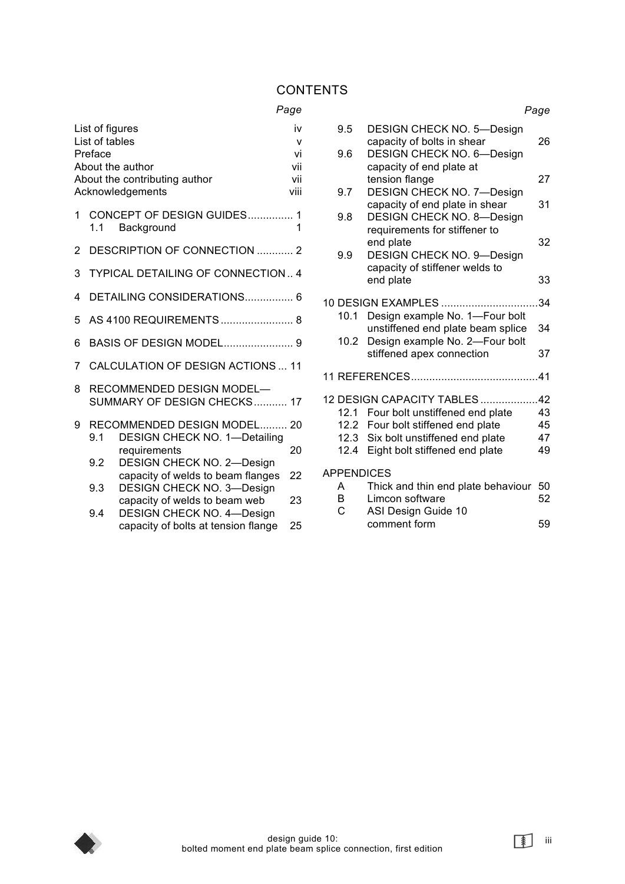#### **CONTENTS**

#### *Page*

|   | List of figures<br>List of tables<br>Preface | About the author<br>About the contributing author<br>Acknowledgements | iv<br>v<br>vi<br>vii<br>vii<br>viii |
|---|----------------------------------------------|-----------------------------------------------------------------------|-------------------------------------|
| 1 | 1.1                                          | CONCEPT OF DESIGN GUIDES 1<br>Background                              | 1                                   |
| 2 |                                              | DESCRIPTION OF CONNECTION  2                                          |                                     |
| 3 |                                              | <b>TYPICAL DETAILING OF CONNECTION 4</b>                              |                                     |
| 4 |                                              | DETAILING CONSIDERATIONS 6                                            |                                     |
| 5 |                                              | AS 4100 REQUIREMENTS 8                                                |                                     |
| 6 |                                              |                                                                       |                                     |
| 7 |                                              | CALCULATION OF DESIGN ACTIONS  11                                     |                                     |
| 8 |                                              | RECOMMENDED DESIGN MODEL-<br>SUMMARY OF DESIGN CHECKS 17              |                                     |
| 9 | 9.1                                          | RECOMMENDED DESIGN MODEL 20<br><b>DESIGN CHECK NO. 1-Detailing</b>    |                                     |
|   | 9.2                                          | requirements<br><b>DESIGN CHECK NO. 2-Design</b>                      | 20                                  |
|   | 9.3                                          | capacity of welds to beam flanges<br><b>DESIGN CHECK NO. 3-Design</b> | 22                                  |
|   | $\Omega$ $\Lambda$                           | capacity of welds to beam web<br>DESICN CHECK NO. 4 Decian            | 23                                  |

DESIGN CHECK NO. 4—Design capacity of bolts at tension flange 25

*Page*  9.5 DESIGN CHECK NO. 5—Design capacity of bolts in shear 26 9.6 DESIGN CHECK NO. 6—Design capacity of end plate at tension flange 27 9.7 DESIGN CHECK NO. 7—Design capacity of end plate in shear 31 9.8 DESIGN CHECK NO. 8—Design requirements for stiffener to end plate 32 9.9 DESIGN CHECK NO. 9—Design capacity of stiffener welds to end plate 33 10 DESIGN EXAMPLES ................................34 10.1 Design example No. 1—Four bolt unstiffened end plate beam splice 34 10.2 Design example No. 2—Four bolt stiffened apex connection 37 11 REFERENCES..........................................41 12 DESIGN CAPACITY TABLES ...................42 12.1 Four bolt unstiffened end plate 43 12.2 Four bolt stiffened end plate 45 12.3 Six bolt unstiffened end plate 47 12.4 Eight bolt stiffened end plate 49 APPENDICES A Thick and thin end plate behaviour 50 B Limcon software 52

C ASI Design Guide 10 comment form 59



iii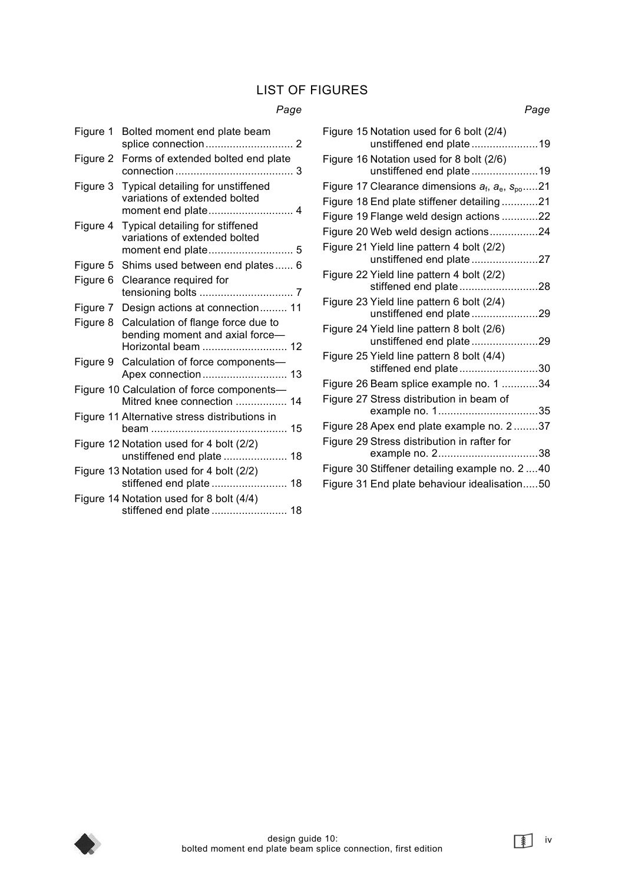# LIST OF FIGURES

### *Page*

| Figure 1 | Bolted moment end plate beam                                                                 |
|----------|----------------------------------------------------------------------------------------------|
| Figure 2 | Forms of extended bolted end plate                                                           |
| Figure 3 | Typical detailing for unstiffened<br>variations of extended bolted                           |
| Figure 4 | Typical detailing for stiffened<br>variations of extended bolted                             |
| Figure 5 | Shims used between end plates 6                                                              |
| Figure 6 | Clearance required for                                                                       |
| Figure 7 | Design actions at connection 11                                                              |
| Figure 8 | Calculation of flange force due to<br>bending moment and axial force-<br>Horizontal beam  12 |
| Figure 9 | Calculation of force components-                                                             |
|          | Figure 10 Calculation of force components-<br>Mitred knee connection  14                     |
|          | Figure 11 Alternative stress distributions in                                                |
|          | Figure 12 Notation used for 4 bolt (2/2)<br>unstiffened end plate  18                        |
|          | Figure 13 Notation used for 4 bolt (2/2)                                                     |
|          | Figure 14 Notation used for 8 bolt (4/4)                                                     |

|  | Figure 15 Notation used for 6 bolt (2/4)<br>unstiffened end plate19   |  |
|--|-----------------------------------------------------------------------|--|
|  | Figure 16 Notation used for 8 bolt (2/6)                              |  |
|  | unstiffened end plate19                                               |  |
|  | Figure 17 Clearance dimensions $a_f$ , $a_e$ , $s_{po}$ 21            |  |
|  | Figure 18 End plate stiffener detailing21                             |  |
|  | Figure 19 Flange weld design actions 22                               |  |
|  | Figure 20 Web weld design actions24                                   |  |
|  | Figure 21 Yield line pattern 4 bolt (2/2)<br>unstiffened end plate 27 |  |
|  | Figure 22 Yield line pattern 4 bolt (2/2)<br>stiffened end plate28    |  |
|  | Figure 23 Yield line pattern 6 bolt (2/4)<br>unstiffened end plate29  |  |
|  | Figure 24 Yield line pattern 8 bolt (2/6)<br>unstiffened end plate29  |  |
|  | Figure 25 Yield line pattern 8 bolt (4/4)<br>stiffened end plate30    |  |
|  | Figure 26 Beam splice example no. 1 34                                |  |
|  | Figure 27 Stress distribution in beam of                              |  |
|  | Figure 28 Apex end plate example no. 237                              |  |
|  | Figure 29 Stress distribution in rafter for                           |  |
|  |                                                                       |  |
|  | Figure 30 Stiffener detailing example no. 2 40                        |  |
|  | Figure 31 End plate behaviour idealisation50                          |  |
|  |                                                                       |  |

*Page* 



iv<br>
<u>i</u>